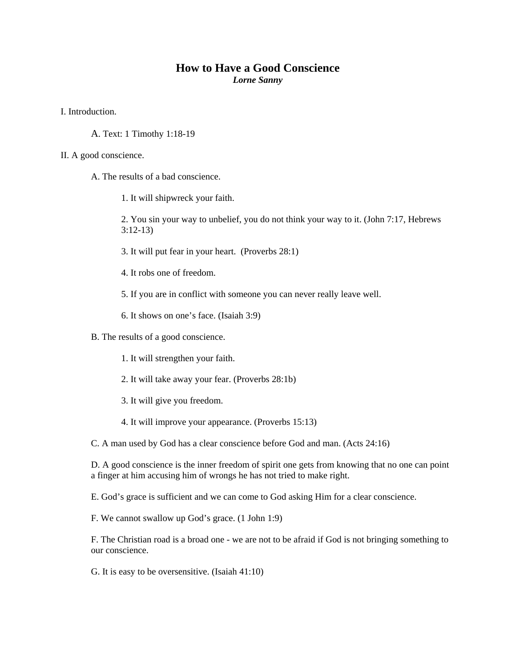## **How to Have a Good Conscience**  *Lorne Sanny*

I. Introduction.

A. Text: 1 Timothy 1:18-19

## II. A good conscience.

- A. The results of a bad conscience.
	- 1. It will shipwreck your faith.
	- 2. You sin your way to unbelief, you do not think your way to it. (John 7:17, Hebrews 3:12-13)
	- 3. It will put fear in your heart. (Proverbs 28:1)
	- 4. It robs one of freedom.
	- 5. If you are in conflict with someone you can never really leave well.
	- 6. It shows on one's face. (Isaiah 3:9)
- B. The results of a good conscience.
	- 1. It will strengthen your faith.
	- 2. It will take away your fear. (Proverbs 28:1b)
	- 3. It will give you freedom.
	- 4. It will improve your appearance. (Proverbs 15:13)

C. A man used by God has a clear conscience before God and man. (Acts 24:16)

D. A good conscience is the inner freedom of spirit one gets from knowing that no one can point a finger at him accusing him of wrongs he has not tried to make right.

E. God's grace is sufficient and we can come to God asking Him for a clear conscience.

F. We cannot swallow up God's grace. (1 John 1:9)

F. The Christian road is a broad one - we are not to be afraid if God is not bringing something to our conscience.

G. It is easy to be oversensitive. (Isaiah 41:10)